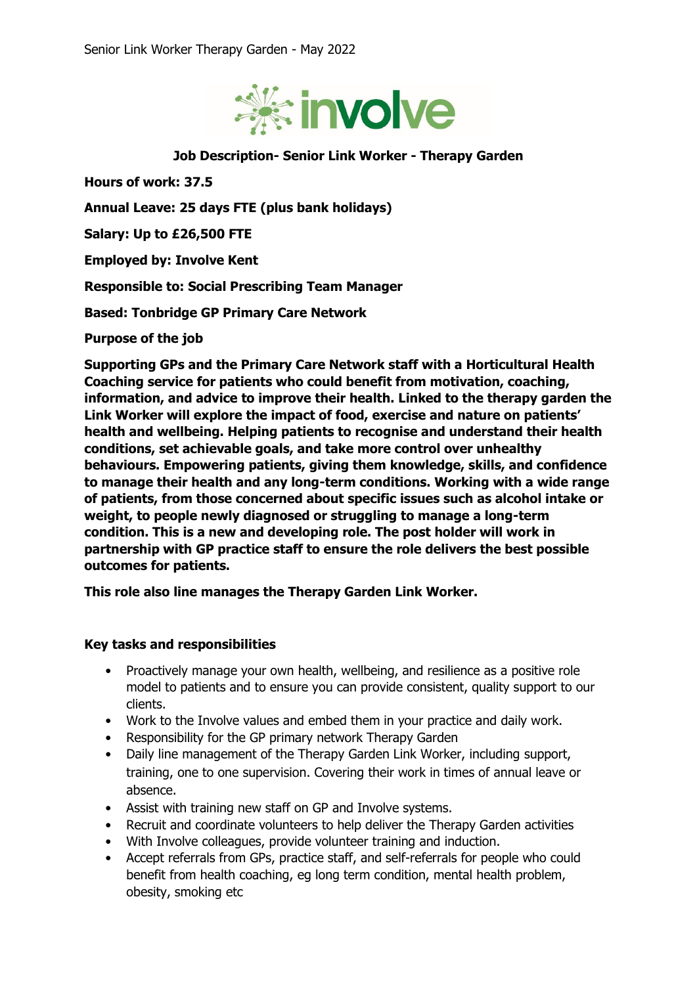

## **Job Description- Senior Link Worker - Therapy Garden**

**Hours of work: 37.5**

**Annual Leave: 25 days FTE (plus bank holidays)**

**Salary: Up to £26,500 FTE** 

**Employed by: Involve Kent**

**Responsible to: Social Prescribing Team Manager**

**Based: Tonbridge GP Primary Care Network**

**Purpose of the job**

**Supporting GPs and the Primary Care Network staff with a Horticultural Health Coaching service for patients who could benefit from motivation, coaching, information, and advice to improve their health. Linked to the therapy garden the Link Worker will explore the impact of food, exercise and nature on patients' health and wellbeing. Helping patients to recognise and understand their health conditions, set achievable goals, and take more control over unhealthy behaviours. Empowering patients, giving them knowledge, skills, and confidence to manage their health and any long-term conditions. Working with a wide range of patients, from those concerned about specific issues such as alcohol intake or weight, to people newly diagnosed or struggling to manage a long-term condition. This is a new and developing role. The post holder will work in partnership with GP practice staff to ensure the role delivers the best possible outcomes for patients.**

**This role also line manages the Therapy Garden Link Worker.** 

## **Key tasks and responsibilities**

- Proactively manage your own health, wellbeing, and resilience as a positive role model to patients and to ensure you can provide consistent, quality support to our clients.
- Work to the Involve values and embed them in your practice and daily work.
- Responsibility for the GP primary network Therapy Garden
- Daily line management of the Therapy Garden Link Worker, including support, training, one to one supervision. Covering their work in times of annual leave or absence.
- Assist with training new staff on GP and Involve systems.
- Recruit and coordinate volunteers to help deliver the Therapy Garden activities
- With Involve colleagues, provide volunteer training and induction.
- Accept referrals from GPs, practice staff, and self-referrals for people who could benefit from health coaching, eg long term condition, mental health problem, obesity, smoking etc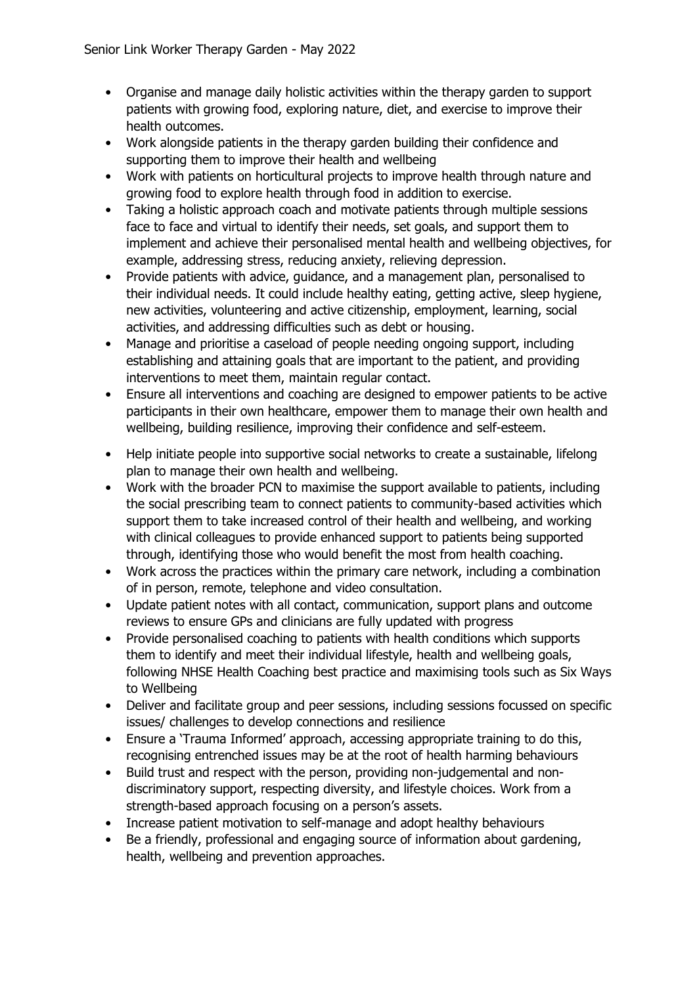- Organise and manage daily holistic activities within the therapy garden to support patients with growing food, exploring nature, diet, and exercise to improve their health outcomes.
- Work alongside patients in the therapy garden building their confidence and supporting them to improve their health and wellbeing
- Work with patients on horticultural projects to improve health through nature and growing food to explore health through food in addition to exercise.
- Taking a holistic approach coach and motivate patients through multiple sessions face to face and virtual to identify their needs, set goals, and support them to implement and achieve their personalised mental health and wellbeing objectives, for example, addressing stress, reducing anxiety, relieving depression.
- Provide patients with advice, guidance, and a management plan, personalised to their individual needs. It could include healthy eating, getting active, sleep hygiene, new activities, volunteering and active citizenship, employment, learning, social activities, and addressing difficulties such as debt or housing.
- Manage and prioritise a caseload of people needing ongoing support, including establishing and attaining goals that are important to the patient, and providing interventions to meet them, maintain regular contact.
- Ensure all interventions and coaching are designed to empower patients to be active participants in their own healthcare, empower them to manage their own health and wellbeing, building resilience, improving their confidence and self-esteem.
- Help initiate people into supportive social networks to create a sustainable, lifelong plan to manage their own health and wellbeing.
- Work with the broader PCN to maximise the support available to patients, including the social prescribing team to connect patients to community-based activities which support them to take increased control of their health and wellbeing, and working with clinical colleagues to provide enhanced support to patients being supported through, identifying those who would benefit the most from health coaching.
- Work across the practices within the primary care network, including a combination of in person, remote, telephone and video consultation.
- Update patient notes with all contact, communication, support plans and outcome reviews to ensure GPs and clinicians are fully updated with progress
- Provide personalised coaching to patients with health conditions which supports them to identify and meet their individual lifestyle, health and wellbeing goals, following NHSE Health Coaching best practice and maximising tools such as Six Ways to Wellbeing
- Deliver and facilitate group and peer sessions, including sessions focussed on specific issues/ challenges to develop connections and resilience
- Ensure a 'Trauma Informed' approach, accessing appropriate training to do this, recognising entrenched issues may be at the root of health harming behaviours
- Build trust and respect with the person, providing non-judgemental and nondiscriminatory support, respecting diversity, and lifestyle choices. Work from a strength-based approach focusing on a person's assets.
- Increase patient motivation to self-manage and adopt healthy behaviours
- Be a friendly, professional and engaging source of information about gardening, health, wellbeing and prevention approaches.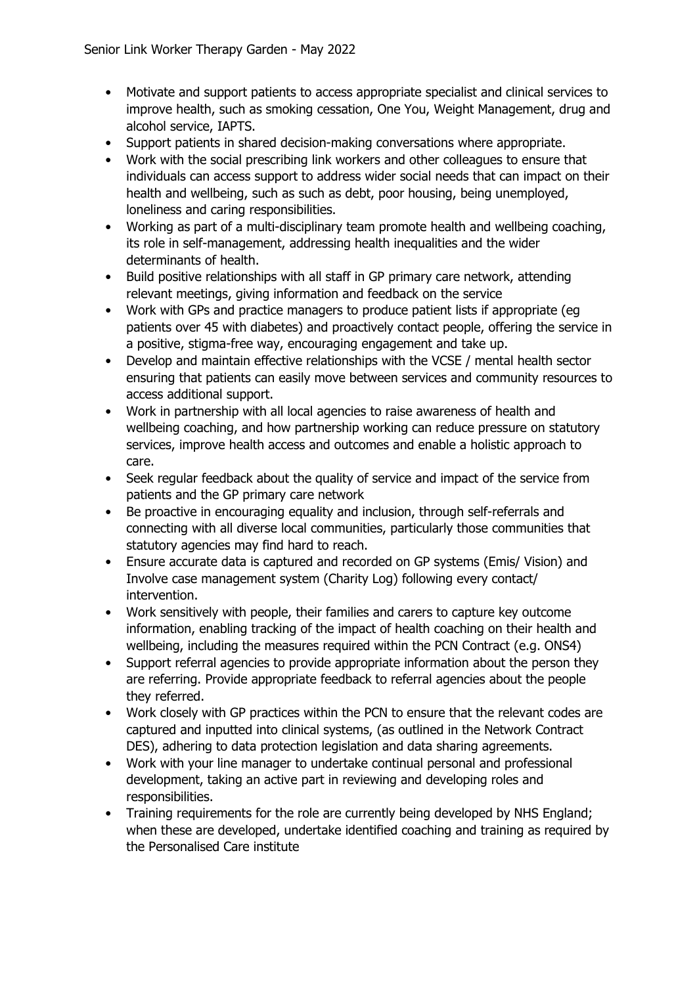- Motivate and support patients to access appropriate specialist and clinical services to improve health, such as smoking cessation, One You, Weight Management, drug and alcohol service, IAPTS.
- Support patients in shared decision-making conversations where appropriate.
- Work with the social prescribing link workers and other colleagues to ensure that individuals can access support to address wider social needs that can impact on their health and wellbeing, such as such as debt, poor housing, being unemployed, loneliness and caring responsibilities.
- Working as part of a multi-disciplinary team promote health and wellbeing coaching, its role in self-management, addressing health inequalities and the wider determinants of health.
- Build positive relationships with all staff in GP primary care network, attending relevant meetings, giving information and feedback on the service
- Work with GPs and practice managers to produce patient lists if appropriate (eg patients over 45 with diabetes) and proactively contact people, offering the service in a positive, stigma-free way, encouraging engagement and take up.
- Develop and maintain effective relationships with the VCSE / mental health sector ensuring that patients can easily move between services and community resources to access additional support.
- Work in partnership with all local agencies to raise awareness of health and wellbeing coaching, and how partnership working can reduce pressure on statutory services, improve health access and outcomes and enable a holistic approach to care.
- Seek regular feedback about the quality of service and impact of the service from patients and the GP primary care network
- Be proactive in encouraging equality and inclusion, through self-referrals and connecting with all diverse local communities, particularly those communities that statutory agencies may find hard to reach.
- Ensure accurate data is captured and recorded on GP systems (Emis/ Vision) and Involve case management system (Charity Log) following every contact/ intervention.
- Work sensitively with people, their families and carers to capture key outcome information, enabling tracking of the impact of health coaching on their health and wellbeing, including the measures required within the PCN Contract (e.g. ONS4)
- Support referral agencies to provide appropriate information about the person they are referring. Provide appropriate feedback to referral agencies about the people they referred.
- Work closely with GP practices within the PCN to ensure that the relevant codes are captured and inputted into clinical systems, (as outlined in the Network Contract DES), adhering to data protection legislation and data sharing agreements.
- Work with your line manager to undertake continual personal and professional development, taking an active part in reviewing and developing roles and responsibilities.
- Training requirements for the role are currently being developed by NHS England; when these are developed, undertake identified coaching and training as required by the Personalised Care institute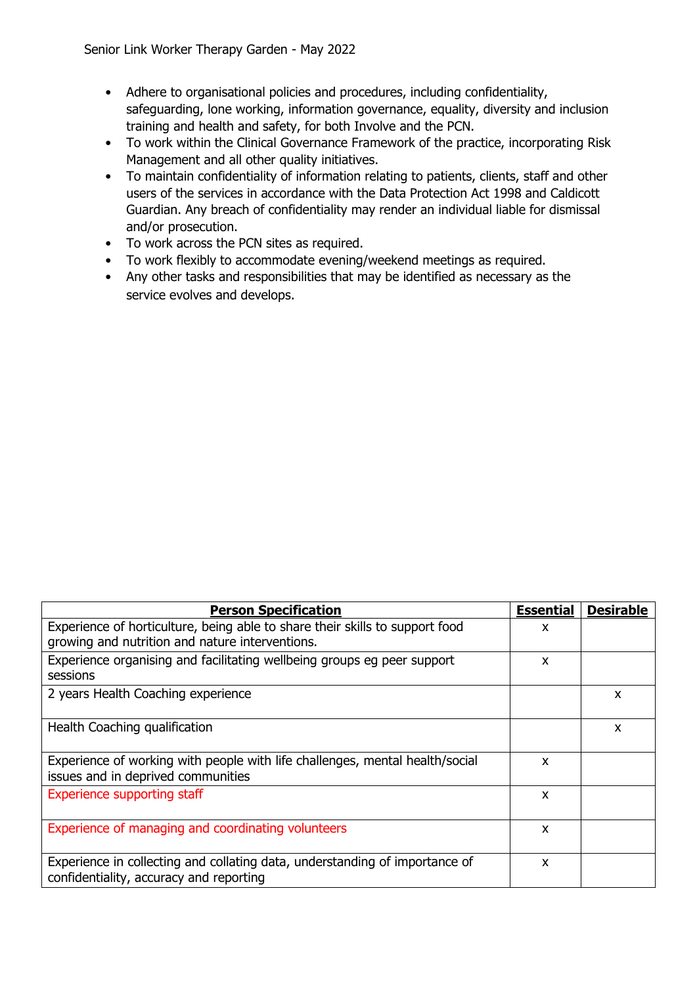- Adhere to organisational policies and procedures, including confidentiality, safeguarding, lone working, information governance, equality, diversity and inclusion training and health and safety, for both Involve and the PCN.
- To work within the Clinical Governance Framework of the practice, incorporating Risk Management and all other quality initiatives.
- To maintain confidentiality of information relating to patients, clients, staff and other users of the services in accordance with the Data Protection Act 1998 and Caldicott Guardian. Any breach of confidentiality may render an individual liable for dismissal and/or prosecution.
- To work across the PCN sites as required.
- To work flexibly to accommodate evening/weekend meetings as required.
- Any other tasks and responsibilities that may be identified as necessary as the service evolves and develops.

| <b>Person Specification</b>                                                                                            | <b>Essential</b> | <b>Desirable</b> |
|------------------------------------------------------------------------------------------------------------------------|------------------|------------------|
| Experience of horticulture, being able to share their skills to support food                                           | x                |                  |
| growing and nutrition and nature interventions.                                                                        |                  |                  |
| Experience organising and facilitating wellbeing groups eg peer support                                                | X                |                  |
| sessions                                                                                                               |                  |                  |
| 2 years Health Coaching experience                                                                                     |                  | X                |
| Health Coaching qualification                                                                                          |                  | X                |
| Experience of working with people with life challenges, mental health/social<br>issues and in deprived communities     | X                |                  |
| <b>Experience supporting staff</b>                                                                                     | X                |                  |
| Experience of managing and coordinating volunteers                                                                     | X                |                  |
| Experience in collecting and collating data, understanding of importance of<br>confidentiality, accuracy and reporting | X                |                  |